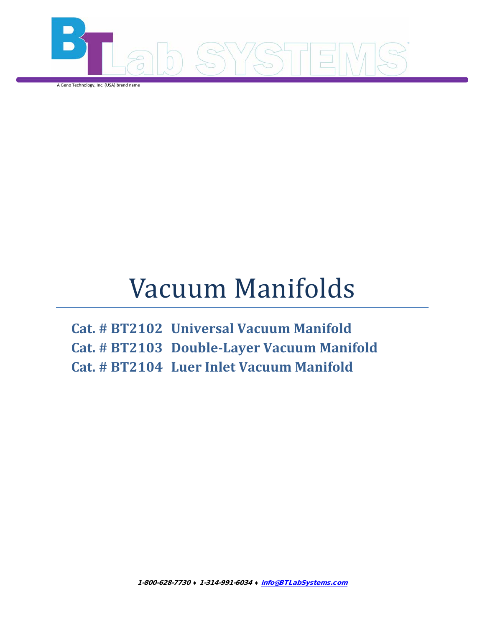

A Geno Technology, Inc. (USA) brand name

# Vacuum Manifolds

**Cat. # BT2102 Universal Vacuum Manifold Cat. # BT2103 Double-Layer Vacuum Manifold Cat. # BT2104 Luer Inlet Vacuum Manifold**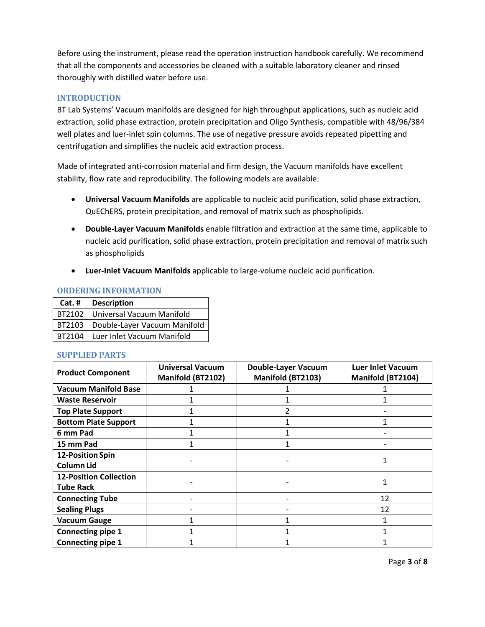<span id="page-2-3"></span>Before using the instrument, please read the operation instruction handbook carefully. We recommend that all the components and accessories be cleaned with a suitable laboratory cleaner and rinsed thoroughly with distilled water before use.

# <span id="page-2-0"></span>**INTRODUCTION**

BT Lab Systems' Vacuum manifolds are designed for high throughput applications, such as nucleic acid extraction, solid phase extraction, protein precipitation and Oligo Synthesis, compatible with 48/96/384 well plates and luer-inlet spin columns. The use of negative pressure avoids repeated pipetting and centrifugation and simplifies the nucleic acid extraction process.

Made of integrated anti-corrosion material and firm design, the Vacuum manifolds have excellent stability, flow rate and reproducibility. The following models are available:

- **Universal Vacuum Manifolds** are applicable to nucleic acid purification, solid phase extraction, QuEChERS, protein precipitation, and removal of matrix such as phospholipids.
- **Double-Layer Vacuum Manifolds** enable filtration and extraction at the same time, applicable to nucleic acid purification, solid phase extraction, protein precipitation and removal of matrix such as phospholipids
- **Luer-Inlet Vacuum Manifolds** applicable to large-volume nucleic acid purification.

#### <span id="page-2-1"></span>**ORDERING INFORMATION**

| Cat. # | <b>Description</b>                    |
|--------|---------------------------------------|
|        | BT2102   Universal Vacuum Manifold    |
|        | BT2103   Double-Layer Vacuum Manifold |
|        | BT2104   Luer Inlet Vacuum Manifold   |

#### <span id="page-2-2"></span>**SUPPLIED PARTS**

| <b>Product Component</b>      | <b>Universal Vacuum</b><br>Manifold (BT2102) | <b>Double-Layer Vacuum</b><br>Manifold (BT2103) | <b>Luer Inlet Vacuum</b><br>Manifold (BT2104) |  |
|-------------------------------|----------------------------------------------|-------------------------------------------------|-----------------------------------------------|--|
| <b>Vacuum Manifold Base</b>   |                                              |                                                 |                                               |  |
| <b>Waste Reservoir</b>        |                                              |                                                 |                                               |  |
| <b>Top Plate Support</b>      |                                              |                                                 |                                               |  |
| <b>Bottom Plate Support</b>   |                                              |                                                 |                                               |  |
| 6 mm Pad                      |                                              |                                                 |                                               |  |
| 15 mm Pad                     |                                              |                                                 |                                               |  |
| <b>12-Position Spin</b>       |                                              |                                                 |                                               |  |
| <b>Column Lid</b>             |                                              |                                                 |                                               |  |
| <b>12-Position Collection</b> |                                              |                                                 |                                               |  |
| <b>Tube Rack</b>              |                                              |                                                 |                                               |  |
| <b>Connecting Tube</b>        |                                              |                                                 | 12                                            |  |
| <b>Sealing Plugs</b>          |                                              |                                                 | 12                                            |  |
| <b>Vacuum Gauge</b>           |                                              |                                                 |                                               |  |
| <b>Connecting pipe 1</b>      |                                              |                                                 |                                               |  |
| Connecting pipe 1             |                                              |                                                 |                                               |  |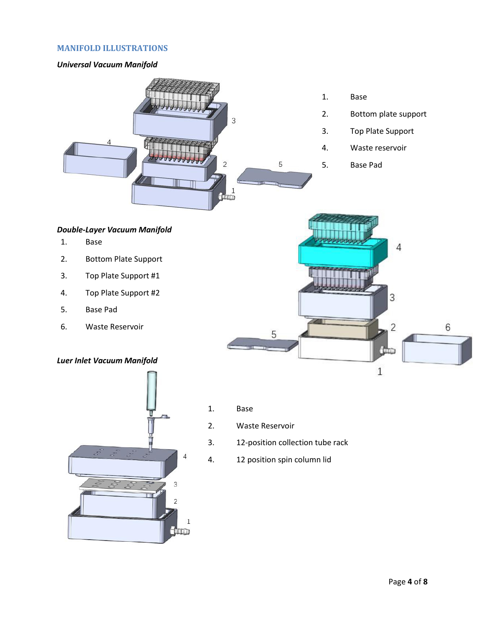## **MANIFOLD ILLUSTRATIONS**

#### <span id="page-3-0"></span>*Universal Vacuum Manifold*



- 1. Base
- 2. Bottom plate support
- 3. Top Plate Support
- 4. Waste reservoir
- 5. Base Pad

# <span id="page-3-1"></span>*Double-Layer Vacuum Manifold*

- 1. Base
- 2. Bottom Plate Support
- 3. Top Plate Support #1
- 4. Top Plate Support #2
- 5. Base Pad
- 6. Waste Reservoir

# <span id="page-3-2"></span>*Luer Inlet Vacuum Manifold*





- 1. Base
- 2. Waste Reservoir
- 3. 12-position collection tube rack
- 4. 12 position spin column lid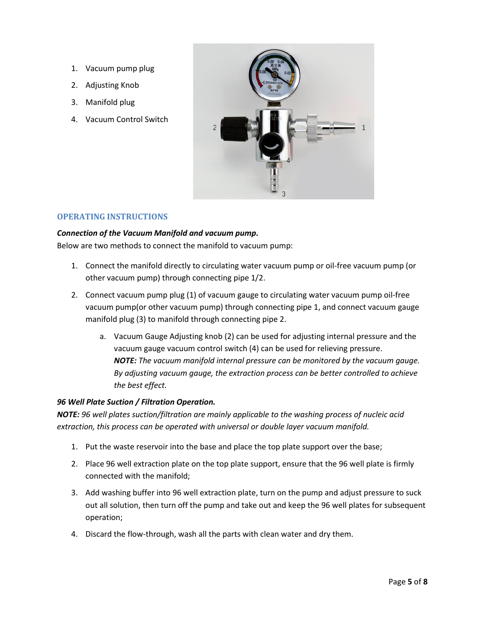- <span id="page-4-3"></span>1. Vacuum pump plug
- 2. Adjusting Knob
- 3. Manifold plug
- 4. Vacuum Control Switch



#### <span id="page-4-0"></span>**OPERATING INSTRUCTIONS**

#### <span id="page-4-1"></span>*Connection of the Vacuum Manifold and vacuum pump.*

Below are two methods to connect the manifold to vacuum pump:

- 1. Connect the manifold directly to circulating water vacuum pump or oil-free vacuum pump (or other vacuum pump) through connecting pipe 1/2.
- 2. Connect vacuum pump plug (1) of vacuum gauge to circulating water vacuum pump oil-free vacuum pump(or other vacuum pump) through connecting pipe 1, and connect vacuum gauge manifold plug (3) to manifold through connecting pipe 2.
	- a. Vacuum Gauge Adjusting knob (2) can be used for adjusting internal pressure and the vacuum gauge vacuum control switch (4) can be used for relieving pressure. *NOTE: The vacuum manifold internal pressure can be monitored by the vacuum gauge. By adjusting vacuum gauge, the extraction process can be better controlled to achieve the best effect.*

#### <span id="page-4-2"></span>*96 Well Plate Suction / Filtration Operation.*

*NOTE: 96 well plates suction/filtration are mainly applicable to the washing process of nucleic acid extraction, this process can be operated with universal or double layer vacuum manifold.*

- 1. Put the waste reservoir into the base and place the top plate support over the base;
- 2. Place 96 well extraction plate on the top plate support, ensure that the 96 well plate is firmly connected with the manifold;
- 3. Add washing buffer into 96 well extraction plate, turn on the pump and adjust pressure to suck out all solution, then turn off the pump and take out and keep the 96 well plates for subsequent operation;
- 4. Discard the flow-through, wash all the parts with clean water and dry them.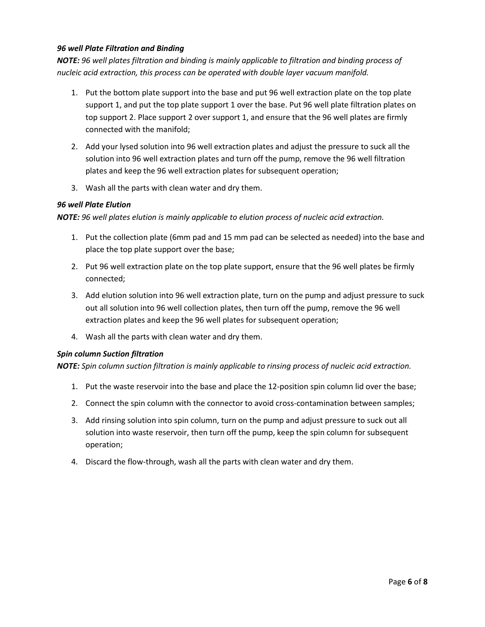# *96 well Plate Filtration and Binding*

*NOTE: 96 well plates filtration and binding is mainly applicable to filtration and binding process of nucleic acid extraction, this process can be operated with double layer vacuum manifold.*

- 1. Put the bottom plate support into the base and put 96 well extraction plate on the top plate support 1, and put the top plate support 1 over the base. Put 96 well plate filtration plates on top support 2. Place support 2 over support 1, and ensure that the 96 well plates are firmly connected with the manifold;
- 2. Add your lysed solution into 96 well extraction plates and adjust the pressure to suck all the solution into 96 well extraction plates and turn off the pump, remove the 96 well filtration plates and keep the 96 well extraction plates for subsequent operation;
- 3. Wash all the parts with clean water and dry them.

#### <span id="page-5-0"></span>*96 well Plate Elution*

*NOTE: 96 well plates elution is mainly applicable to elution process of nucleic acid extraction.*

- 1. Put the collection plate (6mm pad and 15 mm pad can be selected as needed) into the base and place the top plate support over the base;
- 2. Put 96 well extraction plate on the top plate support, ensure that the 96 well plates be firmly connected;
- 3. Add elution solution into 96 well extraction plate, turn on the pump and adjust pressure to suck out all solution into 96 well collection plates, then turn off the pump, remove the 96 well extraction plates and keep the 96 well plates for subsequent operation;
- 4. Wash all the parts with clean water and dry them.

#### <span id="page-5-1"></span>*Spin column Suction filtration*

*NOTE: Spin column suction filtration is mainly applicable to rinsing process of nucleic acid extraction.*

- 1. Put the waste reservoir into the base and place the 12-position spin column lid over the base;
- 2. Connect the spin column with the connector to avoid cross-contamination between samples;
- 3. Add rinsing solution into spin column, turn on the pump and adjust pressure to suck out all solution into waste reservoir, then turn off the pump, keep the spin column for subsequent operation;
- 4. Discard the flow-through, wash all the parts with clean water and dry them.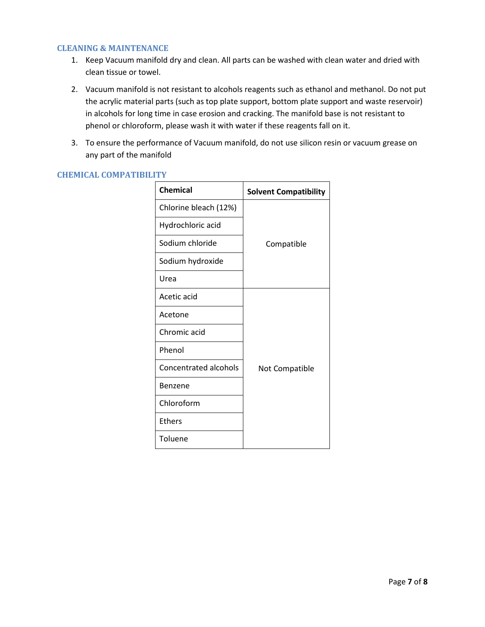#### <span id="page-6-0"></span>**CLEANING & MAINTENANCE**

- 1. Keep Vacuum manifold dry and clean. All parts can be washed with clean water and dried with clean tissue or towel.
- 2. Vacuum manifold is not resistant to alcohols reagents such as ethanol and methanol. Do not put the acrylic material parts (such as top plate support, bottom plate support and waste reservoir) in alcohols for long time in case erosion and cracking. The manifold base is not resistant to phenol or chloroform, please wash it with water if these reagents fall on it.
- 3. To ensure the performance of Vacuum manifold, do not use silicon resin or vacuum grease on any part of the manifold

| <b>Chemical</b>              | <b>Solvent Compatibility</b> |  |
|------------------------------|------------------------------|--|
| Chlorine bleach (12%)        |                              |  |
| Hydrochloric acid            |                              |  |
| Sodium chloride              | Compatible                   |  |
| Sodium hydroxide             |                              |  |
| Urea                         |                              |  |
| Acetic acid                  |                              |  |
| Acetone                      |                              |  |
| Chromic acid                 |                              |  |
| Phenol                       |                              |  |
| <b>Concentrated alcohols</b> | Not Compatible               |  |
| Benzene                      |                              |  |
| Chloroform                   |                              |  |
| <b>Ethers</b>                |                              |  |
| Toluene                      |                              |  |

# <span id="page-6-1"></span>**CHEMICAL COMPATIBILITY**